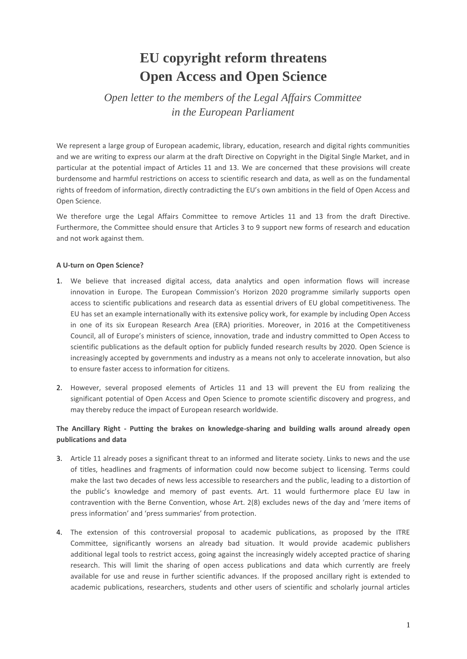# **EU copyright reform threatens Open Access and Open Science**

*Open letter to the members of the Legal Affairs Committee in the European Parliament*

We represent a large group of European academic, library, education, research and digital rights communities and we are writing to express our alarm at the draft Directive on Copyright in the Digital Single Market, and in particular at the potential impact of Articles 11 and 13. We are concerned that these provisions will create burdensome and harmful restrictions on access to scientific research and data, as well as on the fundamental rights of freedom of information, directly contradicting the EU's own ambitions in the field of Open Access and Open Science.

We therefore urge the Legal Affairs Committee to remove Articles 11 and 13 from the draft Directive. Furthermore, the Committee should ensure that Articles 3 to 9 support new forms of research and education and not work against them.

### **A U-turn on Open Science?**

- 1. We believe that increased digital access, data analytics and open information flows will increase innovation in Europe. The European Commission's Horizon 2020 programme similarly supports open access to scientific publications and research data as essential drivers of EU global competitiveness. The EU has set an example internationally with its extensive policy work, for example by including Open Access in one of its six European Research Area (ERA) priorities. Moreover, in 2016 at the Competitiveness Council, all of Europe's ministers of science, innovation, trade and industry committed to Open Access to scientific publications as the default option for publicly funded research results by 2020. Open Science is increasingly accepted by governments and industry as a means not only to accelerate innovation, but also to ensure faster access to information for citizens.
- 2. However, several proposed elements of Articles 11 and 13 will prevent the EU from realizing the significant potential of Open Access and Open Science to promote scientific discovery and progress, and may thereby reduce the impact of European research worldwide.

## **The Ancillary Right - Putting the brakes on knowledge-sharing and building walls around already open publications and data**

- 3. Article 11 already poses a significant threat to an informed and literate society. Links to news and the use of titles, headlines and fragments of information could now become subject to licensing. Terms could make the last two decades of news less accessible to researchers and the public, leading to a distortion of the public's knowledge and memory of past events. Art. 11 would furthermore place EU law in contravention with the Berne Convention, whose Art. 2(8) excludes news of the day and 'mere items of press information' and 'press summaries' from protection.
- 4. The extension of this controversial proposal to academic publications, as proposed by the ITRE Committee, significantly worsens an already bad situation. It would provide academic publishers additional legal tools to restrict access, going against the increasingly widely accepted practice of sharing research. This will limit the sharing of open access publications and data which currently are freely available for use and reuse in further scientific advances. If the proposed ancillary right is extended to academic publications, researchers, students and other users of scientific and scholarly journal articles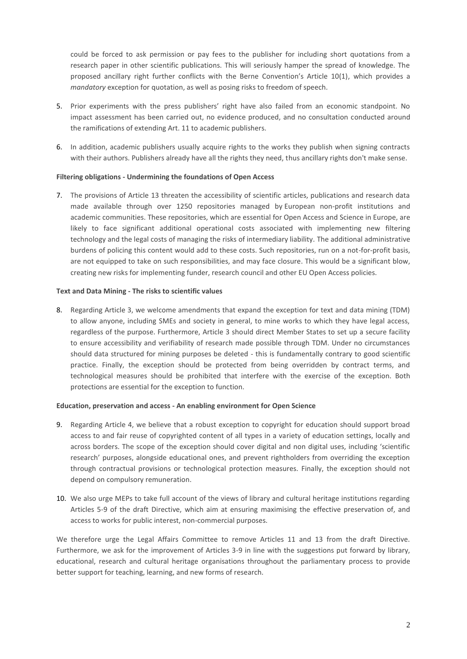could be forced to ask permission or pay fees to the publisher for including short quotations from a research paper in other scientific publications. This will seriously hamper the spread of knowledge. The proposed ancillary right further conflicts with the Berne Convention's Article 10(1), which provides a *mandatory* exception for quotation, as well as posing risks to freedom of speech.

- 5. Prior experiments with the press publishers' right have also failed from an economic standpoint. No impact assessment has been carried out, no evidence produced, and no consultation conducted around the ramifications of extending Art. 11 to academic publishers.
- 6. In addition, academic publishers usually acquire rights to the works they publish when signing contracts with their authors. Publishers already have all the rights they need, thus ancillary rights don't make sense.

#### **Filtering obligations - Undermining the foundations of Open Access**

7. The provisions of Article 13 threaten the accessibility of scientific articles, publications and research data made available through over 1250 repositories managed by European non-profit institutions and academic communities. These repositories, which are essential for Open Access and Science in Europe, are likely to face significant additional operational costs associated with implementing new filtering technology and the legal costs of managing the risks of intermediary liability. The additional administrative burdens of policing this content would add to these costs. Such repositories, run on a not-for-profit basis, are not equipped to take on such responsibilities, and may face closure. This would be a significant blow, creating new risks for implementing funder, research council and other EU Open Access policies.

#### **Text and Data Mining - The risks to scientific values**

8. Regarding Article 3, we welcome amendments that expand the exception for text and data mining (TDM) to allow anyone, including SMEs and society in general, to mine works to which they have legal access, regardless of the purpose. Furthermore, Article 3 should direct Member States to set up a secure facility to ensure accessibility and verifiability of research made possible through TDM. Under no circumstances should data structured for mining purposes be deleted - this is fundamentally contrary to good scientific practice. Finally, the exception should be protected from being overridden by contract terms, and technological measures should be prohibited that interfere with the exercise of the exception. Both protections are essential for the exception to function.

#### **Education, preservation and access - An enabling environment for Open Science**

- 9. Regarding Article 4, we believe that a robust exception to copyright for education should support broad access to and fair reuse of copyrighted content of all types in a variety of education settings, locally and across borders. The scope of the exception should cover digital and non digital uses, including 'scientific research' purposes, alongside educational ones, and prevent rightholders from overriding the exception through contractual provisions or technological protection measures. Finally, the exception should not depend on compulsory remuneration.
- 10. We also urge MEPs to take full account of the views of library and cultural heritage institutions regarding Articles 5-9 of the draft Directive, which aim at ensuring maximising the effective preservation of, and access to works for public interest, non-commercial purposes.

We therefore urge the Legal Affairs Committee to remove Articles 11 and 13 from the draft Directive. Furthermore, we ask for the improvement of Articles 3-9 in line with the suggestions put forward by library, educational, research and cultural heritage organisations throughout the parliamentary process to provide better support for teaching, learning, and new forms of research.